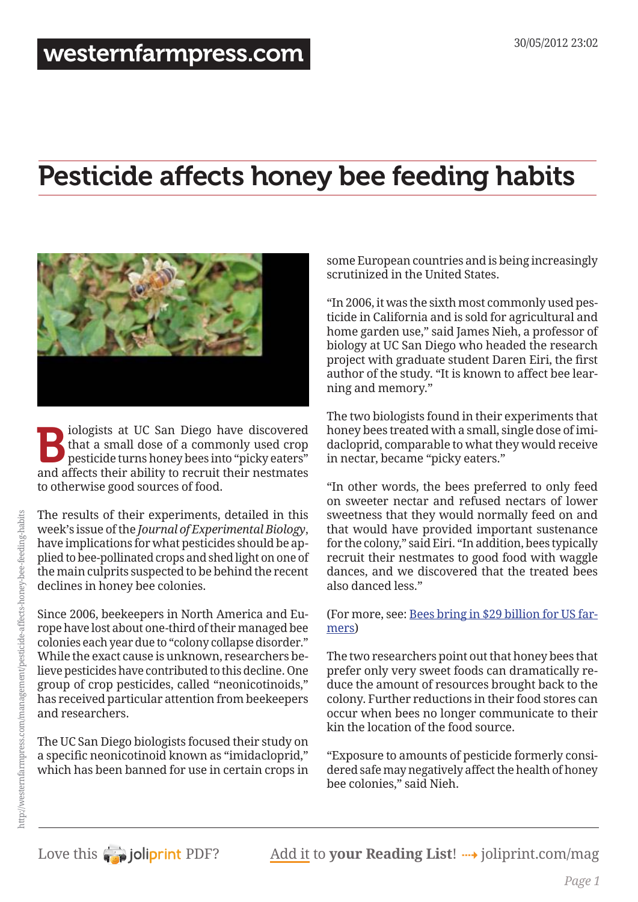## Pesticide affects honey bee feeding habits



iologists at UC San Diego have discovered that a small dose of a commonly used crop pesticide turns honey bees into "picky eaters" and affects their ability to recruit their nestmates to otherwise good sources of food.

The results of their experiments, detailed in this week's issue of the *Journal of Experimental Biology*, have implications for what pesticides should be applied to bee-pollinated crops and shed light on one of the main culprits suspected to be behind the recent declines in honey bee colonies.

Since 2006, beekeepers in North America and Europe have lost about one-third of their managed bee colonies each year due to "colony collapse disorder." While the exact cause is unknown, researchers believe pesticides have contributed to this decline. One group of crop pesticides, called "neonicotinoids," has received particular attention from beekeepers and researchers.

The UC San Diego biologists focused their study on a specific neonicotinoid known as "imidacloprid," which has been banned for use in certain crops in some European countries and is being increasingly scrutinized in the United States.

"In 2006, it was the sixth most commonly used pesticide in California and is sold for agricultural and home garden use," said James Nieh, a professor of biology at UC San Diego who headed the research project with graduate student Daren Eiri, the first author of the study. "It is known to affect bee learning and memory."

The two biologists found in their experiments that honey bees treated with a small, single dose of imidacloprid, comparable to what they would receive in nectar, became "picky eaters."

"In other words, the bees preferred to only feed on sweeter nectar and refused nectars of lower sweetness that they would normally feed on and that would have provided important sustenance for the colony," said Eiri. "In addition, bees typically recruit their nestmates to good food with waggle dances, and we discovered that the treated bees also danced less."

## (For more, see: [Bees bring in \\$29 billion for US far](http://westernfarmpress.com/management/bees-bring-29-billion-us-farmers)[mers\)](http://westernfarmpress.com/management/bees-bring-29-billion-us-farmers)

The two researchers point out that honey bees that prefer only very sweet foods can dramatically reduce the amount of resources brought back to the colony. Further reductions in their food stores can occur when bees no longer communicate to their kin the location of the food source.

"Exposure to amounts of pesticide formerly considered safe may negatively affect the health of honey bee colonies," said Nieh.